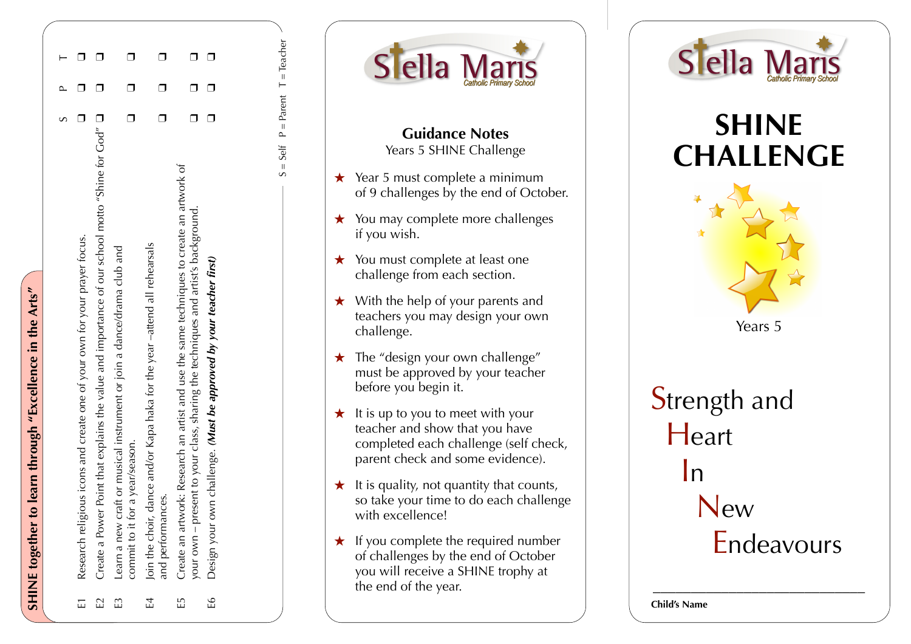|  | Research religious icons and create one of your own for your prayer focus. | Create a Power Point that explains the value and importance of our school motto "Shine for God" $\Box$ | Learn a new craft or musical instrument or join a dance/drama club and<br>commit to it for a year/season. | Join the choir, dance and/or Kapa haka for the year-attend all rehearsals<br>and performances. | Create an artwork: Research an artist and use the same techniques to create an artwork of<br>your own - present to your class, sharing the techniques and artist's background. | Design your own challenge. (Must be approved by your teacher first) |
|--|----------------------------------------------------------------------------|--------------------------------------------------------------------------------------------------------|-----------------------------------------------------------------------------------------------------------|------------------------------------------------------------------------------------------------|--------------------------------------------------------------------------------------------------------------------------------------------------------------------------------|---------------------------------------------------------------------|
|  | $\overline{E}$                                                             | $\mathbb{Z}$                                                                                           | $\mathbb{E}$                                                                                              | E4                                                                                             | E                                                                                                                                                                              | ٩I                                                                  |

**SHINE together to learn through "Excellence in the Arts"**

SHINE together to learn through "Excellence in the Arts"

| d                |
|------------------|
| I                |
| $\mathbf{I}$     |
| I                |
|                  |
|                  |
| í<br>۱           |
| ¢<br>j           |
| Ī                |
|                  |
|                  |
|                  |
| J                |
|                  |
| $\parallel$      |
| ¢<br>I<br>J<br>í |
|                  |
|                  |
|                  |
|                  |
|                  |
|                  |
|                  |
|                  |
|                  |
|                  |
|                  |
|                  |
|                  |
|                  |
|                  |
|                  |
|                  |
|                  |
|                  |
|                  |
|                  |
|                  |
|                  |
|                  |
|                  |
|                  |
|                  |
|                  |
|                  |
|                  |
|                  |
|                  |
|                  |
|                  |
|                  |
|                  |
|                  |
|                  |
|                  |
|                  |
|                  |
|                  |
|                  |
|                  |
|                  |
|                  |
|                  |
|                  |
|                  |
|                  |
|                  |
|                  |
|                  |
|                  |
|                  |
|                  |
|                  |
|                  |





## **SHINE CHALLENGE**



**Strength and Heart**  In New Endeavours

\_\_\_\_\_\_\_\_\_\_\_\_\_\_\_\_\_\_\_\_\_\_\_\_\_\_\_\_

**Child's Name**